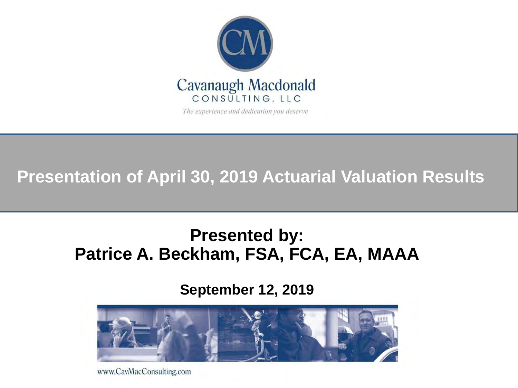

The experience and dedication you deserve

**Presentation of April 30, 2019 Actuarial Valuation Results**

### **Presented by: Patrice A. Beckham, FSA, FCA, EA, MAAA**

**September 12, 2019**



www.CavMacConsulting.com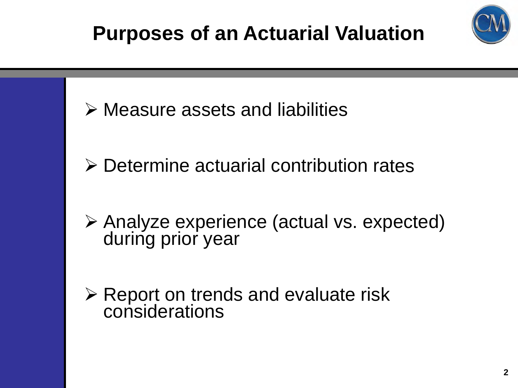



- Determine actuarial contribution rates
- Analyze experience (actual vs. expected) during prior year
- $\triangleright$  Report on trends and evaluate risk considerations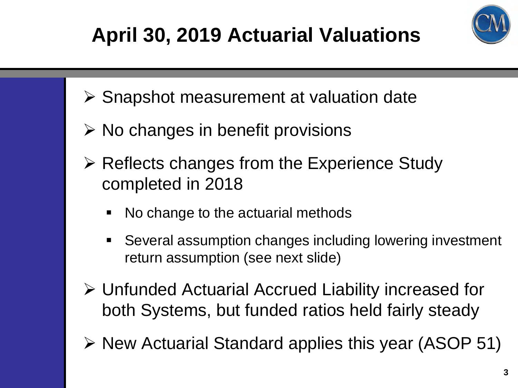# **April 30, 2019 Actuarial Valuations**



- $\triangleright$  Snapshot measurement at valuation date
- $\triangleright$  No changes in benefit provisions
- $\triangleright$  Reflects changes from the Experience Study completed in 2018
	- No change to the actuarial methods
	- Several assumption changes including lowering investment return assumption (see next slide)
- Unfunded Actuarial Accrued Liability increased for both Systems, but funded ratios held fairly steady
- $\triangleright$  New Actuarial Standard applies this year (ASOP 51)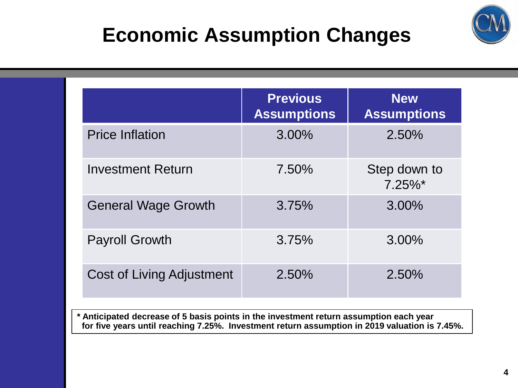### **Economic Assumption Changes**



|                                  | <b>Previous</b><br><b>Assumptions</b> | <b>New</b><br><b>Assumptions</b> |
|----------------------------------|---------------------------------------|----------------------------------|
| <b>Price Inflation</b>           | $3.00\%$                              | 2.50%                            |
| <b>Investment Return</b>         | 7.50%                                 | Step down to<br>$7.25\%$ *       |
| <b>General Wage Growth</b>       | 3.75%                                 | 3.00%                            |
| <b>Payroll Growth</b>            | 3.75%                                 | 3.00%                            |
| <b>Cost of Living Adjustment</b> | 2.50%                                 | 2.50%                            |

**\* Anticipated decrease of 5 basis points in the investment return assumption each year for five years until reaching 7.25%. Investment return assumption in 2019 valuation is 7.45%.**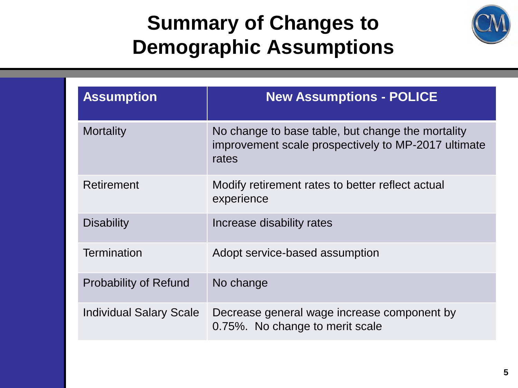### **Summary of Changes to Demographic Assumptions**



| <b>Assumption</b>              | <b>New Assumptions - POLICE</b>                                                                                   |
|--------------------------------|-------------------------------------------------------------------------------------------------------------------|
| <b>Mortality</b>               | No change to base table, but change the mortality<br>improvement scale prospectively to MP-2017 ultimate<br>rates |
| Retirement                     | Modify retirement rates to better reflect actual<br>experience                                                    |
| <b>Disability</b>              | Increase disability rates                                                                                         |
| <b>Termination</b>             | Adopt service-based assumption                                                                                    |
| <b>Probability of Refund</b>   | No change                                                                                                         |
| <b>Individual Salary Scale</b> | Decrease general wage increase component by<br>0.75%. No change to merit scale                                    |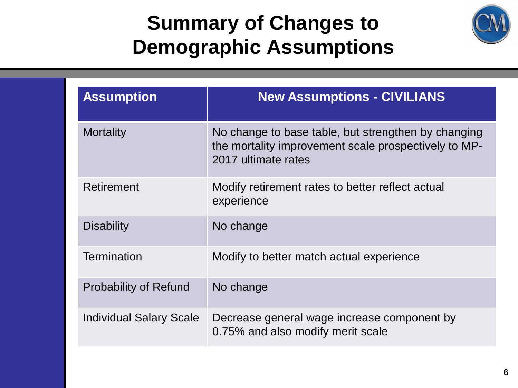### **Summary of Changes to Demographic Assumptions**



| <b>Assumption</b>              | <b>New Assumptions - CIVILIANS</b>                                                                                                 |
|--------------------------------|------------------------------------------------------------------------------------------------------------------------------------|
| <b>Mortality</b>               | No change to base table, but strengthen by changing<br>the mortality improvement scale prospectively to MP-<br>2017 ultimate rates |
| Retirement                     | Modify retirement rates to better reflect actual<br>experience                                                                     |
| <b>Disability</b>              | No change                                                                                                                          |
| <b>Termination</b>             | Modify to better match actual experience                                                                                           |
| <b>Probability of Refund</b>   | No change                                                                                                                          |
| <b>Individual Salary Scale</b> | Decrease general wage increase component by<br>0.75% and also modify merit scale                                                   |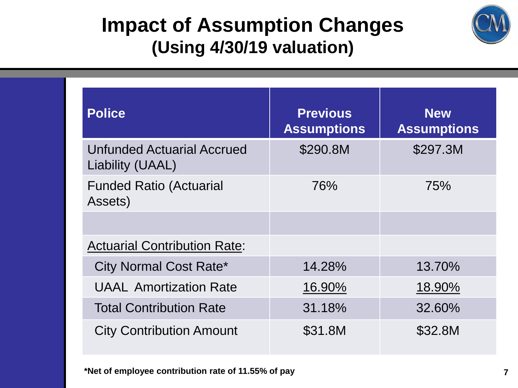### **Impact of Assumption Changes (Using 4/30/19 valuation)**



| <b>Police</b>                                         | <b>Previous</b><br><b>Assumptions</b> | <b>New</b><br><b>Assumptions</b> |
|-------------------------------------------------------|---------------------------------------|----------------------------------|
| <b>Unfunded Actuarial Accrued</b><br>Liability (UAAL) | \$290.8M                              | \$297.3M                         |
| <b>Funded Ratio (Actuarial</b><br>Assets)             | 76%                                   | 75%                              |
|                                                       |                                       |                                  |
| <b>Actuarial Contribution Rate:</b>                   |                                       |                                  |
| <b>City Normal Cost Rate*</b>                         | 14.28%                                | 13.70%                           |
| <b>UAAL Amortization Rate</b>                         | 16.90%                                | 18.90%                           |
| <b>Total Contribution Rate</b>                        | 31.18%                                | 32.60%                           |
| <b>City Contribution Amount</b>                       | \$31.8M                               | \$32.8M                          |

**\*Net of employee contribution rate of 11.55% of pay 7**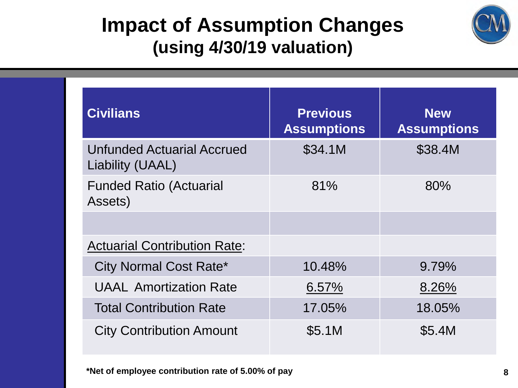### **Impact of Assumption Changes (using 4/30/19 valuation)**



| <b>Civilians</b>                                      | <b>Previous</b><br><b>Assumptions</b> | <b>New</b><br><b>Assumptions</b> |
|-------------------------------------------------------|---------------------------------------|----------------------------------|
| <b>Unfunded Actuarial Accrued</b><br>Liability (UAAL) | \$34.1M                               | \$38.4M                          |
| <b>Funded Ratio (Actuarial</b><br>Assets)             | 81%                                   | 80%                              |
|                                                       |                                       |                                  |
| <b>Actuarial Contribution Rate:</b>                   |                                       |                                  |
| <b>City Normal Cost Rate*</b>                         | 10.48%                                | 9.79%                            |
| <b>UAAL Amortization Rate</b>                         | 6.57%                                 | 8.26%                            |
| <b>Total Contribution Rate</b>                        | 17.05%                                | 18.05%                           |
| <b>City Contribution Amount</b>                       | <b>\$5.1M</b>                         | \$5.4M                           |

**\*Net of employee contribution rate of 5.00% of pay 8**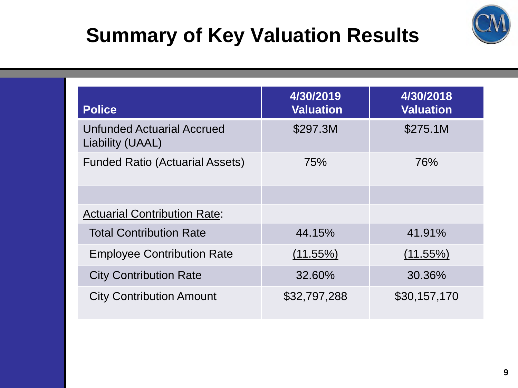# **Summary of Key Valuation Results**



| <b>Police</b>                                         | 4/30/2019<br><b>Valuation</b> | 4/30/2018<br><b>Valuation</b> |
|-------------------------------------------------------|-------------------------------|-------------------------------|
| <b>Unfunded Actuarial Accrued</b><br>Liability (UAAL) | \$297.3M                      | \$275.1M                      |
| <b>Funded Ratio (Actuarial Assets)</b>                | 75%                           | 76%                           |
|                                                       |                               |                               |
| <b>Actuarial Contribution Rate:</b>                   |                               |                               |
| <b>Total Contribution Rate</b>                        | 44.15%                        | 41.91%                        |
| <b>Employee Contribution Rate</b>                     | $(11.55\%)$                   | $(11.55\%)$                   |
| <b>City Contribution Rate</b>                         | 32.60%                        | 30.36%                        |
| <b>City Contribution Amount</b>                       | \$32,797,288                  | \$30,157,170                  |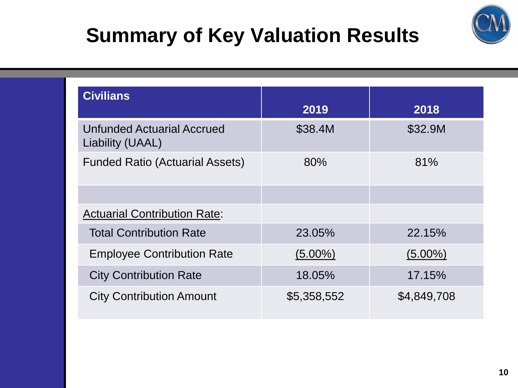# **Summary of Key Valuation Results**



| <b>Civilians</b>                                      |             |             |
|-------------------------------------------------------|-------------|-------------|
|                                                       | 2019        | 2018        |
| <b>Unfunded Actuarial Accrued</b><br>Liability (UAAL) | \$38.4M     | \$32.9M     |
| <b>Funded Ratio (Actuarial Assets)</b>                | 80%         | 81%         |
|                                                       |             |             |
| <b>Actuarial Contribution Rate:</b>                   |             |             |
| <b>Total Contribution Rate</b>                        | 23.05%      | 22.15%      |
| <b>Employee Contribution Rate</b>                     | $(5.00\%)$  | $(5.00\%)$  |
| <b>City Contribution Rate</b>                         | 18.05%      | 17.15%      |
| <b>City Contribution Amount</b>                       | \$5,358,552 | \$4,849,708 |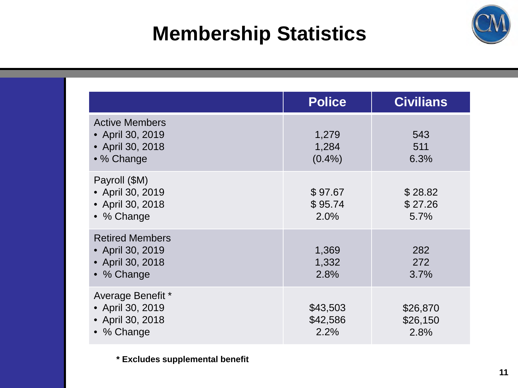### **Membership Statistics**



|                                                                              | <b>Police</b>                | <b>Civilians</b>             |
|------------------------------------------------------------------------------|------------------------------|------------------------------|
| <b>Active Members</b><br>• April 30, 2019<br>• April 30, 2018<br>• % Change  | 1,279<br>1,284<br>$(0.4\%)$  | 543<br>511<br>6.3%           |
| Payroll (\$M)<br>• April 30, 2019<br>• April 30, 2018<br>• % Change          | \$97.67<br>\$95.74<br>2.0%   | \$28.82<br>\$27.26<br>5.7%   |
| <b>Retired Members</b><br>• April 30, 2019<br>• April 30, 2018<br>• % Change | 1,369<br>1,332<br>2.8%       | 282<br>272<br>3.7%           |
| Average Benefit *<br>• April 30, 2019<br>• April 30, 2018<br>• % Change      | \$43,503<br>\$42,586<br>2.2% | \$26,870<br>\$26,150<br>2.8% |

**\* Excludes supplemental benefit**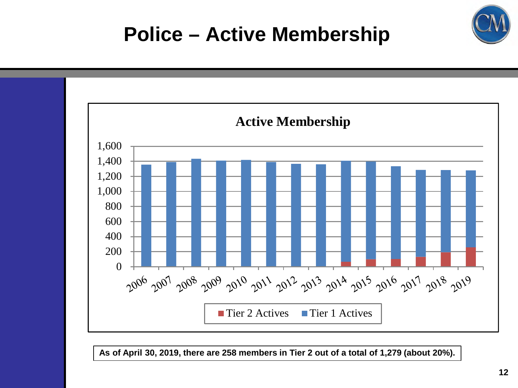

**As of April 30, 2019, there are 258 members in Tier 2 out of a total of 1,279 (about 20%).**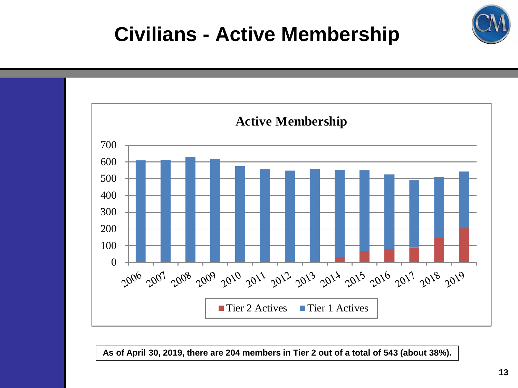### **Civilians - Active Membership**



**As of April 30, 2019, there are 204 members in Tier 2 out of a total of 543 (about 38%).**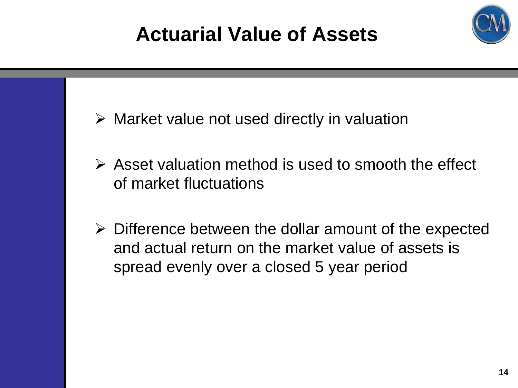# **Actuarial Value of Assets**



- $\triangleright$  Market value not used directly in valuation
- $\triangleright$  Asset valuation method is used to smooth the effect of market fluctuations
- $\triangleright$  Difference between the dollar amount of the expected and actual return on the market value of assets is spread evenly over a closed 5 year period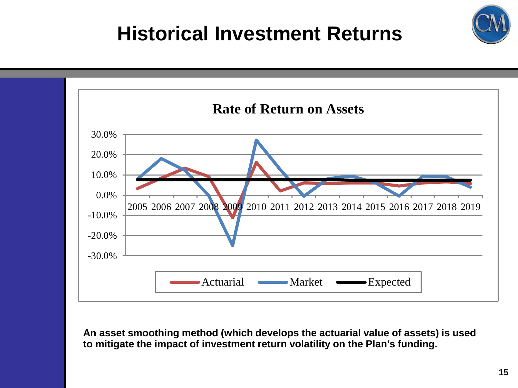### **Historical Investment Returns**



**An asset smoothing method (which develops the actuarial value of assets) is used to mitigate the impact of investment return volatility on the Plan's funding.**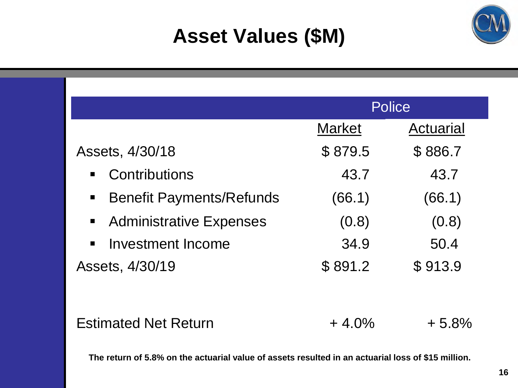### **Asset Values (\$M)**

|                                                     | <b>Police</b> |           |
|-----------------------------------------------------|---------------|-----------|
|                                                     | <b>Market</b> | Actuarial |
| Assets, 4/30/18                                     | \$879.5       | \$886.7   |
| Contributions<br>$\blacksquare$                     | 43.7          | 43.7      |
| <b>Benefit Payments/Refunds</b><br>$\blacksquare$ . | (66.1)        | (66.1)    |
| • Administrative Expenses                           | (0.8)         | (0.8)     |
| Investment Income<br>$\blacksquare$                 | 34.9          | 50.4      |
| Assets, 4/30/19                                     | \$891.2       | \$913.9   |
|                                                     |               |           |
| <b>Estimated Net Return</b>                         | $+4.0\%$      | $+5.8%$   |

**The return of 5.8% on the actuarial value of assets resulted in an actuarial loss of \$15 million.**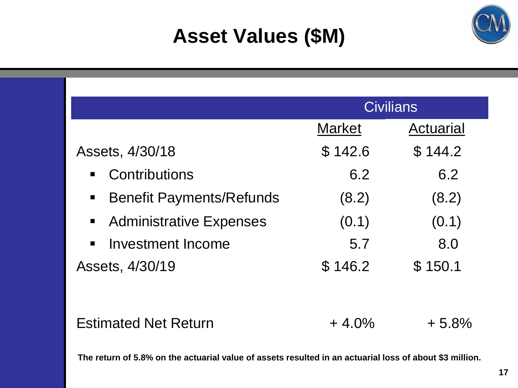### **Asset Values (\$M)**

|                                                                                | <b>Civilians</b> |           |
|--------------------------------------------------------------------------------|------------------|-----------|
|                                                                                | <b>Market</b>    | Actuarial |
| Assets, 4/30/18                                                                | \$142.6          | \$144.2   |
| Contributions<br>$\blacksquare$                                                | 6.2              | 6.2       |
| <b>Benefit Payments/Refunds</b><br>$\begin{array}{c} \blacksquare \end{array}$ | (8.2)            | (8.2)     |
| • Administrative Expenses                                                      | (0.1)            | (0.1)     |
| Investment Income<br>$\blacksquare$                                            | 5.7              | 8.0       |
| Assets, 4/30/19                                                                | \$146.2          | \$150.1   |
|                                                                                |                  |           |
| <b>Estimated Net Return</b>                                                    | $+4.0\%$         | $+5.8\%$  |

**The return of 5.8% on the actuarial value of assets resulted in an actuarial loss of about \$3 million.**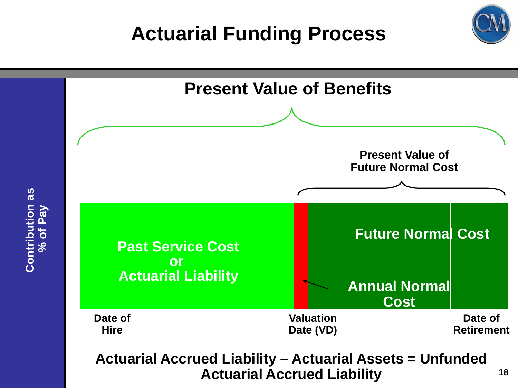### **Actuarial Funding Process**

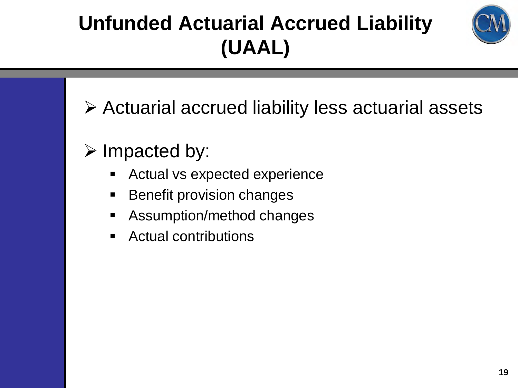# **Unfunded Actuarial Accrued Liability (UAAL)**



- Actuarial accrued liability less actuarial assets
- $\triangleright$  Impacted by:
	- **EXPLO Actual vs expected experience**
	- **Benefit provision changes**
	- **Assumption/method changes**
	- Actual contributions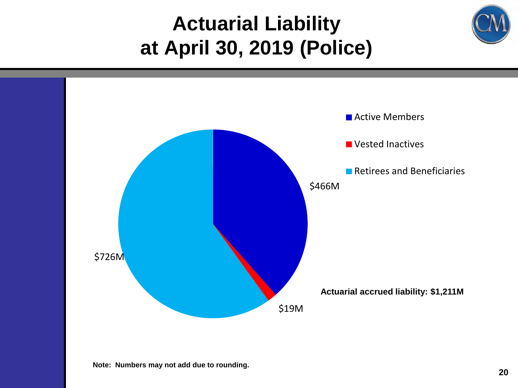### **Actuarial Liability at April 30, 2019 (Police)**

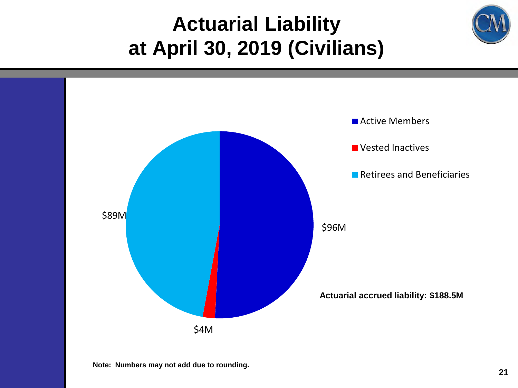### **Actuarial Liability at April 30, 2019 (Civilians)**

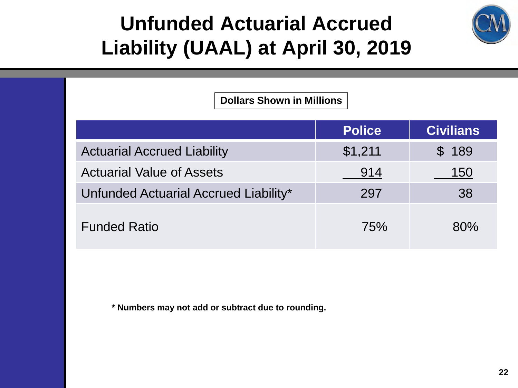### **Unfunded Actuarial Accrued Liability (UAAL) at April 30, 2019**



**Dollars Shown in Millions**

|                                       | <b>Police</b> | <b>Civilians</b> |
|---------------------------------------|---------------|------------------|
| <b>Actuarial Accrued Liability</b>    | \$1,211       | \$189            |
| <b>Actuarial Value of Assets</b>      | 914           | 150              |
| Unfunded Actuarial Accrued Liability* | 297           | 38               |
| <b>Funded Ratio</b>                   | <b>75%</b>    | 80%              |

**\* Numbers may not add or subtract due to rounding.**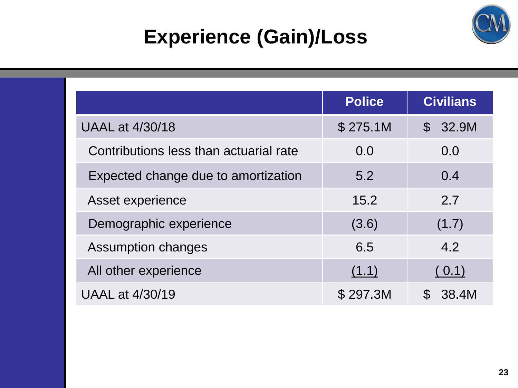

## **Experience (Gain)/Loss**

|                                        | <b>Police</b> | <b>Civilians</b> |
|----------------------------------------|---------------|------------------|
| <b>UAAL at 4/30/18</b>                 | \$275.1M      | \$32.9M          |
| Contributions less than actuarial rate | 0.0           | 0.0              |
| Expected change due to amortization    | 5.2           | 0.4              |
| Asset experience                       | 15.2          | 2.7              |
| Demographic experience                 | (3.6)         | (1.7)            |
| <b>Assumption changes</b>              | 6.5           | 4.2              |
| All other experience                   | (1.1)         | (0.1)            |
| <b>UAAL at 4/30/19</b>                 | \$297.3M      | 38.4M            |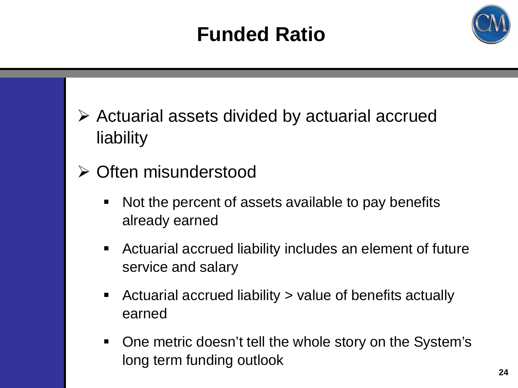### **Funded Ratio**



- $\triangleright$  Actuarial assets divided by actuarial accrued liability
- Often misunderstood
	- Not the percent of assets available to pay benefits already earned
	- Actuarial accrued liability includes an element of future service and salary
	- Actuarial accrued liability > value of benefits actually earned
	- One metric doesn't tell the whole story on the System's long term funding outlook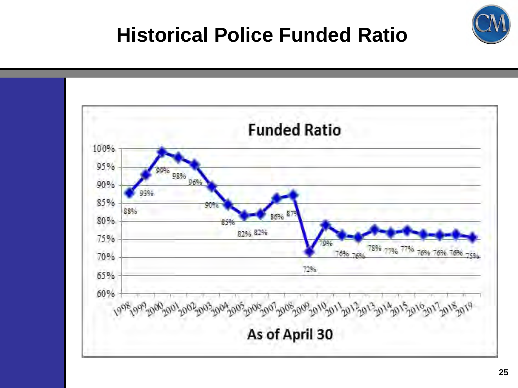

### **Historical Police Funded Ratio**

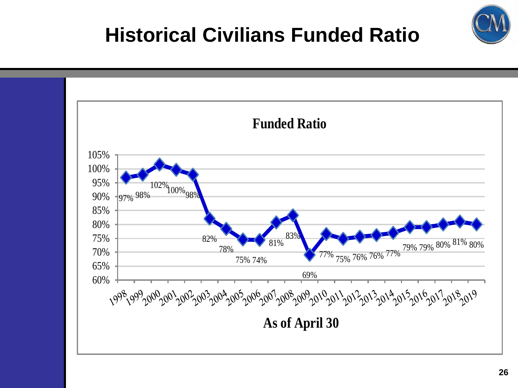### **Historical Civilians Funded Ratio**

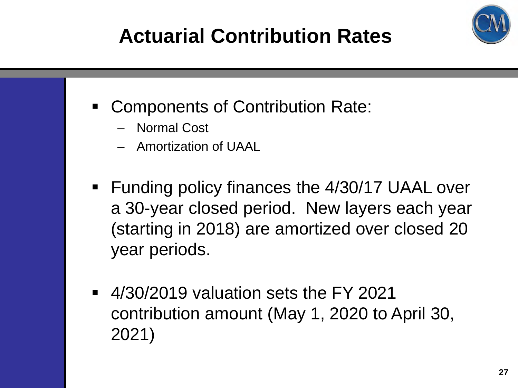# **Actuarial Contribution Rates**



- Components of Contribution Rate:
	- Normal Cost
	- Amortization of UAAL
- Funding policy finances the 4/30/17 UAAL over a 30-year closed period. New layers each year (starting in 2018) are amortized over closed 20 year periods.
- 4/30/2019 valuation sets the FY 2021 contribution amount (May 1, 2020 to April 30, 2021)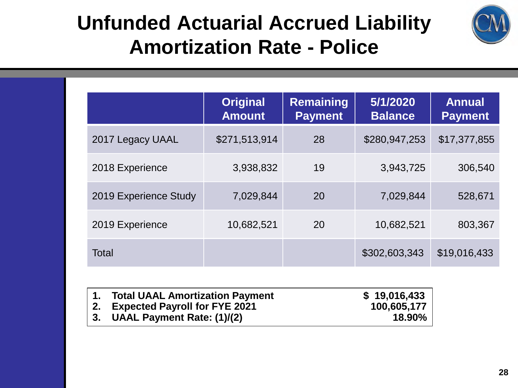

### **Unfunded Actuarial Accrued Liability Amortization Rate - Police**

|                       | <b>Original</b><br><b>Amount</b> | <b>Remaining</b><br><b>Payment</b> | 5/1/2020<br><b>Balance</b> | <b>Annual</b><br><b>Payment</b> |
|-----------------------|----------------------------------|------------------------------------|----------------------------|---------------------------------|
| 2017 Legacy UAAL      | \$271,513,914                    | 28                                 | \$280,947,253              | \$17,377,855                    |
| 2018 Experience       | 3,938,832                        | 19                                 | 3,943,725                  | 306,540                         |
| 2019 Experience Study | 7,029,844                        | 20                                 | 7,029,844                  | 528,671                         |
| 2019 Experience       | 10,682,521                       | 20                                 | 10,682,521                 | 803,367                         |
| <b>Total</b>          |                                  |                                    | \$302,603,343              | \$19,016,433                    |

| <b>Total UAAL Amortization Payment</b> | \$19,016,433 |
|----------------------------------------|--------------|
| 2. Expected Payroll for FYE 2021       | 100,605,177  |
| 3. UAAL Payment Rate: (1)/(2)          | 18.90%       |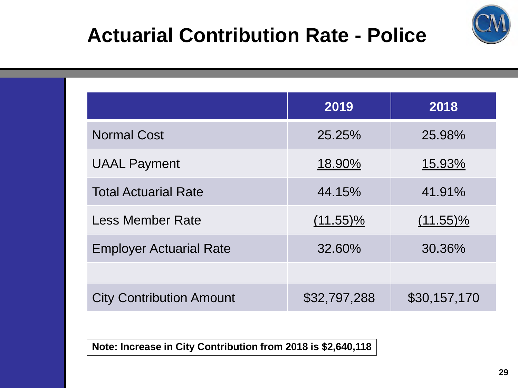

### **Actuarial Contribution Rate - Police**

|                                 | 2019         | 2018         |
|---------------------------------|--------------|--------------|
| <b>Normal Cost</b>              | 25.25%       | 25.98%       |
| <b>UAAL Payment</b>             | 18.90%       | 15.93%       |
| <b>Total Actuarial Rate</b>     | 44.15%       | 41.91%       |
| <b>Less Member Rate</b>         | $(11.55)\%$  | $(11.55)\%$  |
| <b>Employer Actuarial Rate</b>  | 32.60%       | 30.36%       |
|                                 |              |              |
| <b>City Contribution Amount</b> | \$32,797,288 | \$30,157,170 |

**Note: Increase in City Contribution from 2018 is \$2,640,118**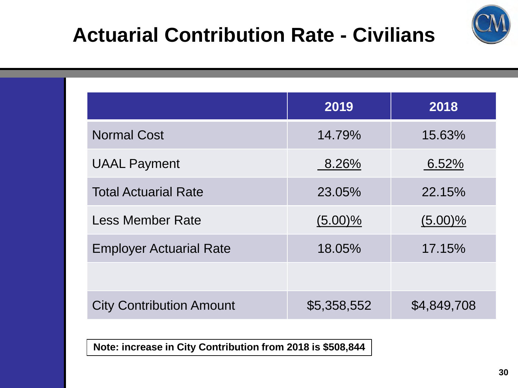



|                                 | 2019        | 2018        |
|---------------------------------|-------------|-------------|
| <b>Normal Cost</b>              | 14.79%      | 15.63%      |
| <b>UAAL Payment</b>             | 8.26%       | 6.52%       |
| <b>Total Actuarial Rate</b>     | 23.05%      | 22.15%      |
| <b>Less Member Rate</b>         | $(5.00)\%$  | $(5.00)\%$  |
| <b>Employer Actuarial Rate</b>  | 18.05%      | 17.15%      |
|                                 |             |             |
| <b>City Contribution Amount</b> | \$5,358,552 | \$4,849,708 |

**Note: increase in City Contribution from 2018 is \$508,844**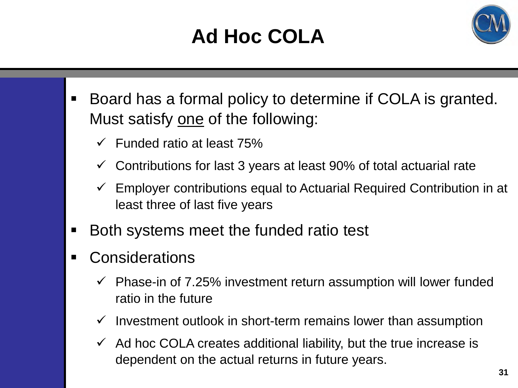# **Ad Hoc COLA**



- Board has a formal policy to determine if COLA is granted. Must satisfy one of the following:
	- $\checkmark$  Funded ratio at least 75%
	- Contributions for last 3 years at least 90% of total actuarial rate
	- $\checkmark$  Employer contributions equal to Actuarial Required Contribution in at least three of last five years
- **Both systems meet the funded ratio test**
- Considerations
	- $\checkmark$  Phase-in of 7.25% investment return assumption will lower funded ratio in the future
	- $\checkmark$  Investment outlook in short-term remains lower than assumption
	- $\checkmark$  Ad hoc COLA creates additional liability, but the true increase is dependent on the actual returns in future years.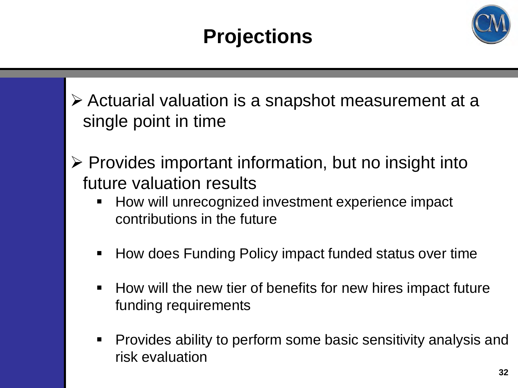

- Actuarial valuation is a snapshot measurement at a single point in time
- $\triangleright$  Provides important information, but no insight into future valuation results
	- **How will unrecognized investment experience impact** contributions in the future
	- How does Funding Policy impact funded status over time
	- $\blacksquare$  How will the new tier of benefits for new hires impact future funding requirements
	- Provides ability to perform some basic sensitivity analysis and risk evaluation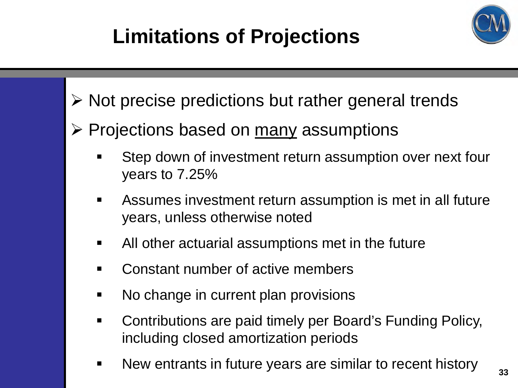



- $\triangleright$  Not precise predictions but rather general trends
- $\triangleright$  Projections based on many assumptions
	- Step down of investment return assumption over next four years to 7.25%
	- Assumes investment return assumption is met in all future years, unless otherwise noted
	- All other actuarial assumptions met in the future
	- Constant number of active members
	- No change in current plan provisions
	- Contributions are paid timely per Board's Funding Policy, including closed amortization periods
	- **New entrants in future years are similar to recent history**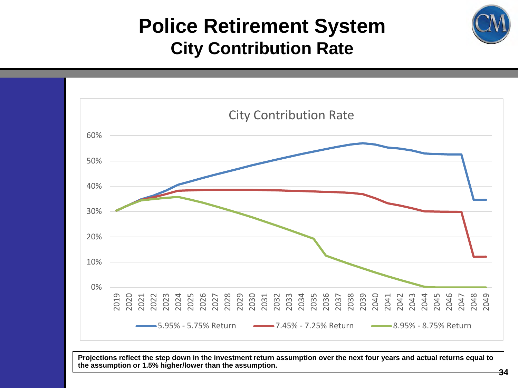### **Police Retirement System City Contribution Rate**

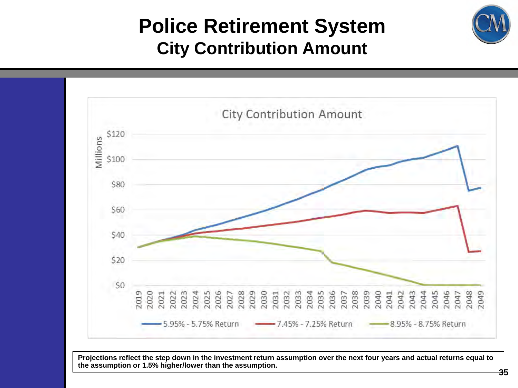### **Police Retirement System City Contribution Amount**

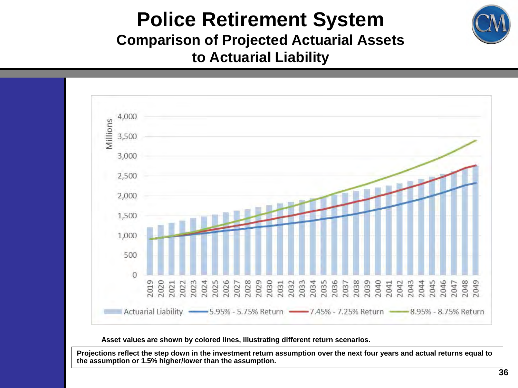

### **Police Retirement System Comparison of Projected Actuarial Assets to Actuarial Liability**



**Asset values are shown by colored lines, illustrating different return scenarios.**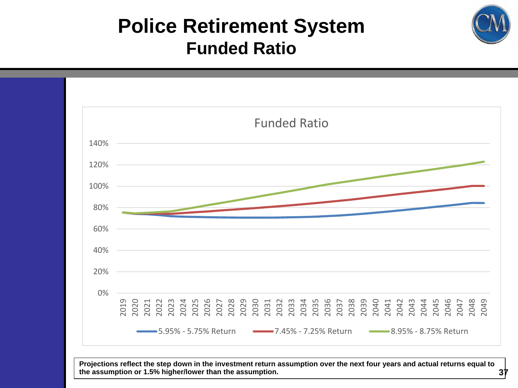### **Police Retirement System Funded Ratio**

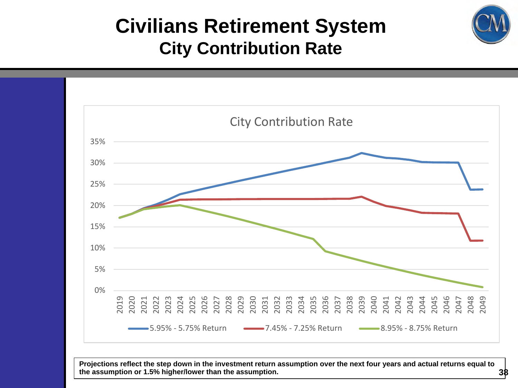### **Civilians Retirement System City Contribution Rate**

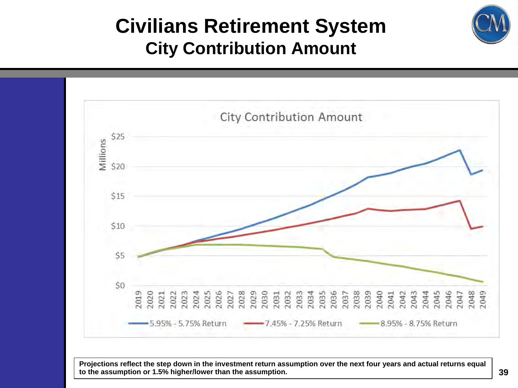

### **Civilians Retirement System City Contribution Amount**

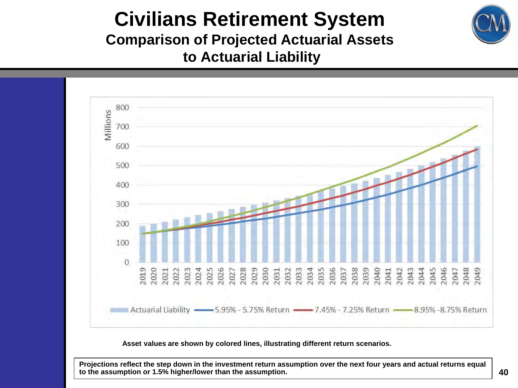

### **Civilians Retirement System Comparison of Projected Actuarial Assets to Actuarial Liability**



**Asset values are shown by colored lines, illustrating different return scenarios.**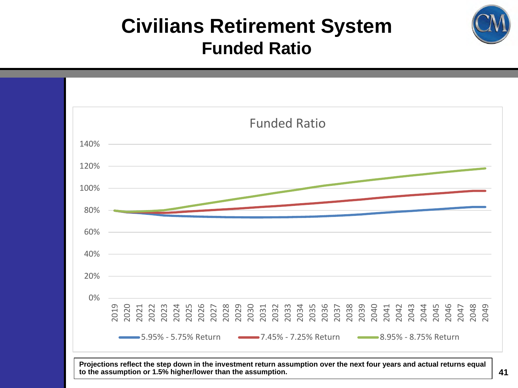### **Civilians Retirement System Funded Ratio**

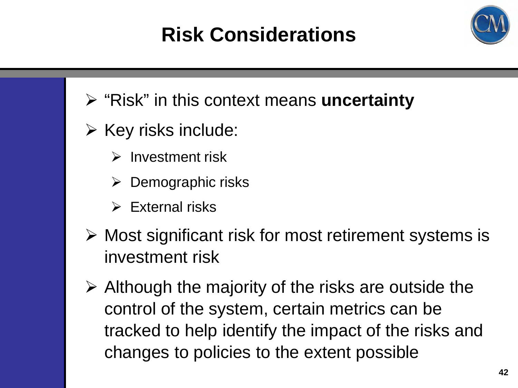# **Risk Considerations**





- $\triangleright$  Key risks include:
	- $\triangleright$  Investment risk
	- $\triangleright$  Demographic risks
	- $\triangleright$  External risks
- $\triangleright$  Most significant risk for most retirement systems is investment risk
- $\triangleright$  Although the majority of the risks are outside the control of the system, certain metrics can be tracked to help identify the impact of the risks and changes to policies to the extent possible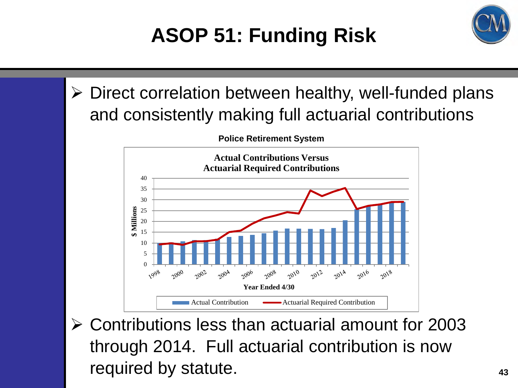# **ASOP 51: Funding Risk**



 $\triangleright$  Direct correlation between healthy, well-funded plans and consistently making full actuarial contributions



**Police Retirement System**

 Contributions less than actuarial amount for 2003 through 2014. Full actuarial contribution is now required by statute. **All any statute** and the statute of  $\frac{43}{43}$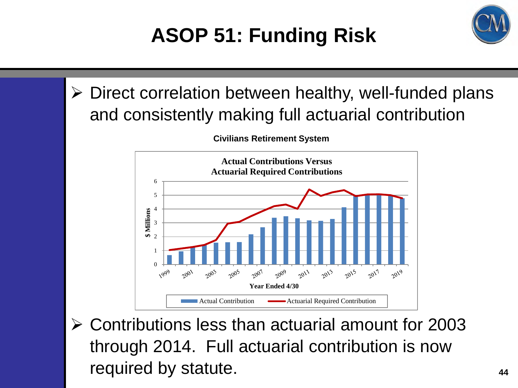# **ASOP 51: Funding Risk**



 $\triangleright$  Direct correlation between healthy, well-funded plans and consistently making full actuarial contribution



**Civilians Retirement System**

 Contributions less than actuarial amount for 2003 through 2014. Full actuarial contribution is now required by statute. **Analyzing the statute**  $\frac{44}{44}$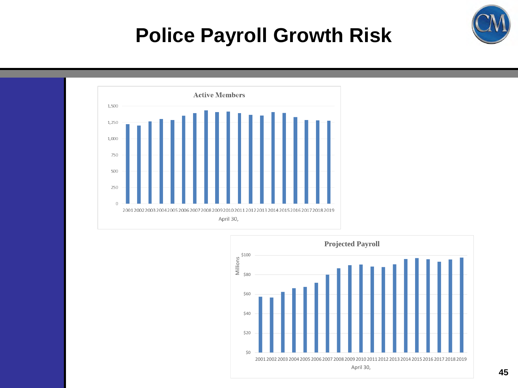

### **Police Payroll Growth Risk**



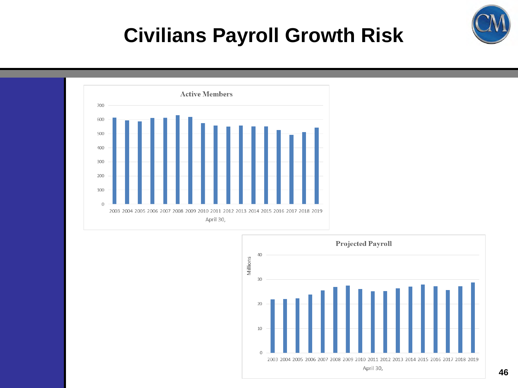

### **Civilians Payroll Growth Risk**



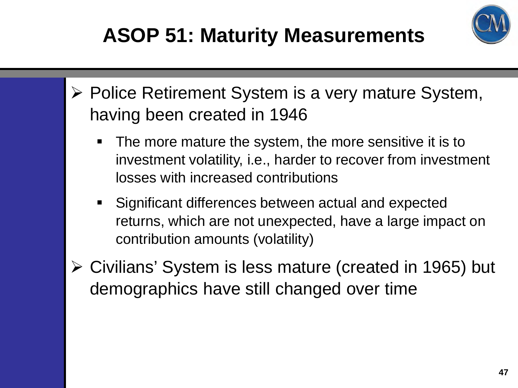# **ASOP 51: Maturity Measurements**



- ▶ Police Retirement System is a very mature System, having been created in 1946
	- The more mature the system, the more sensitive it is to investment volatility, i.e., harder to recover from investment losses with increased contributions
	- Significant differences between actual and expected returns, which are not unexpected, have a large impact on contribution amounts (volatility)
- Civilians' System is less mature (created in 1965) but demographics have still changed over time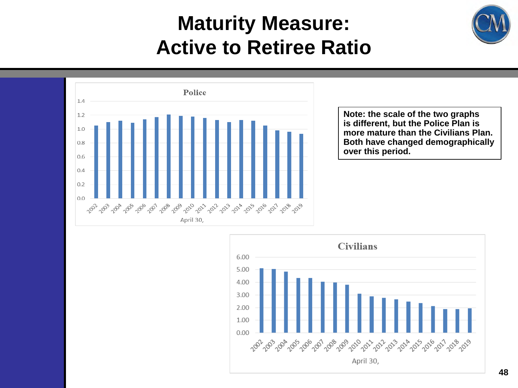### **Maturity Measure: Active to Retiree Ratio**





**Note: the scale of the two graphs is different, but the Police Plan is more mature than the Civilians Plan. Both have changed demographically over this period.**

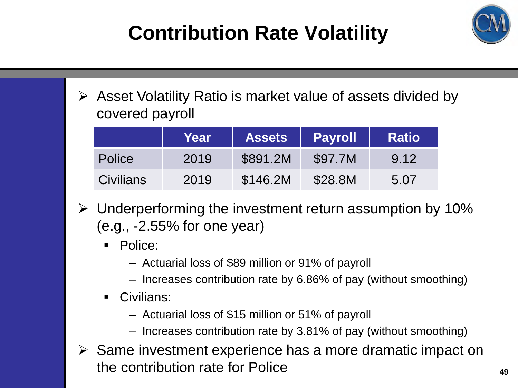# **Contribution Rate Volatility**



 $\triangleright$  Asset Volatility Ratio is market value of assets divided by covered payroll

|                  | Year | <b>Assets</b> | <b>Payroll</b> | <b>Ratio</b> |
|------------------|------|---------------|----------------|--------------|
| <b>Police</b>    | 2019 | \$891.2M      | \$97.7M        | 9.12         |
| <b>Civilians</b> | 2019 | \$146.2M      | \$28.8M        | 5.07         |

- $\triangleright$  Underperforming the investment return assumption by 10% (e.g., -2.55% for one year)
	- **Police:** 
		- Actuarial loss of \$89 million or 91% of payroll
		- Increases contribution rate by 6.86% of pay (without smoothing)
	- Civilians:
		- Actuarial loss of \$15 million or 51% of payroll
		- Increases contribution rate by 3.81% of pay (without smoothing)
- $\triangleright$  Same investment experience has a more dramatic impact on the contribution rate for Police **<sup>49</sup>**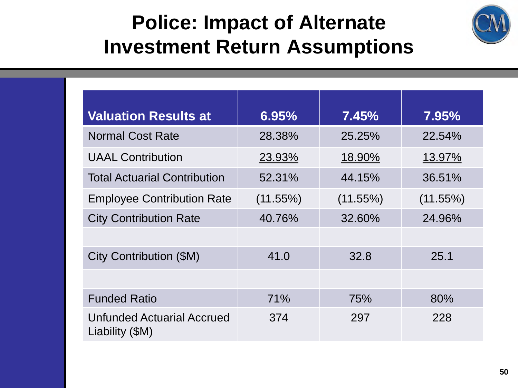### **Police: Impact of Alternate Investment Return Assumptions**



| <b>Valuation Results at</b>                          | 6.95%    | 7.45%       | $7.95\%$    |
|------------------------------------------------------|----------|-------------|-------------|
| <b>Normal Cost Rate</b>                              | 28.38%   | 25.25%      | 22.54%      |
| <b>UAAL Contribution</b>                             | 23.93%   | 18.90%      | 13.97%      |
| <b>Total Actuarial Contribution</b>                  | 52.31%   | 44.15%      | 36.51%      |
| <b>Employee Contribution Rate</b>                    | (11.55%) | $(11.55\%)$ | $(11.55\%)$ |
| <b>City Contribution Rate</b>                        | 40.76%   | 32.60%      | 24.96%      |
|                                                      |          |             |             |
| City Contribution (\$M)                              | 41.0     | 32.8        | 25.1        |
|                                                      |          |             |             |
| <b>Funded Ratio</b>                                  | 71%      | 75%         | 80%         |
| <b>Unfunded Actuarial Accrued</b><br>Liability (\$M) | 374      | 297         | 228         |